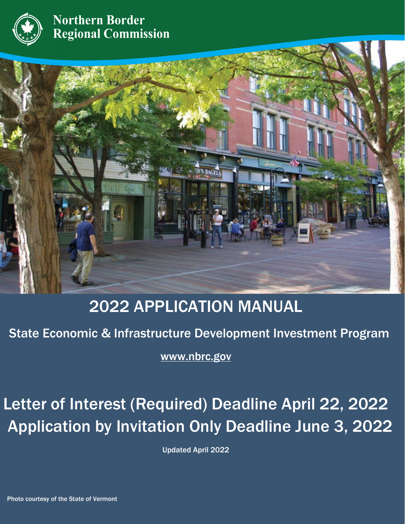

**Northern Border Regional Commission** 



## 2022 APPLICATION MANUAL

State Economic & Infrastructure Development Investment Program

j [www.nbrc.gov](http://www.nbrc.gov/)

 $\overline{\phantom{0}}$  $\overline{\phantom{a}}$ Letter of Interest (Required) Deadline April 22, 2022 Application by Invitation Only Deadline June 3, 2022

Updated April 2022